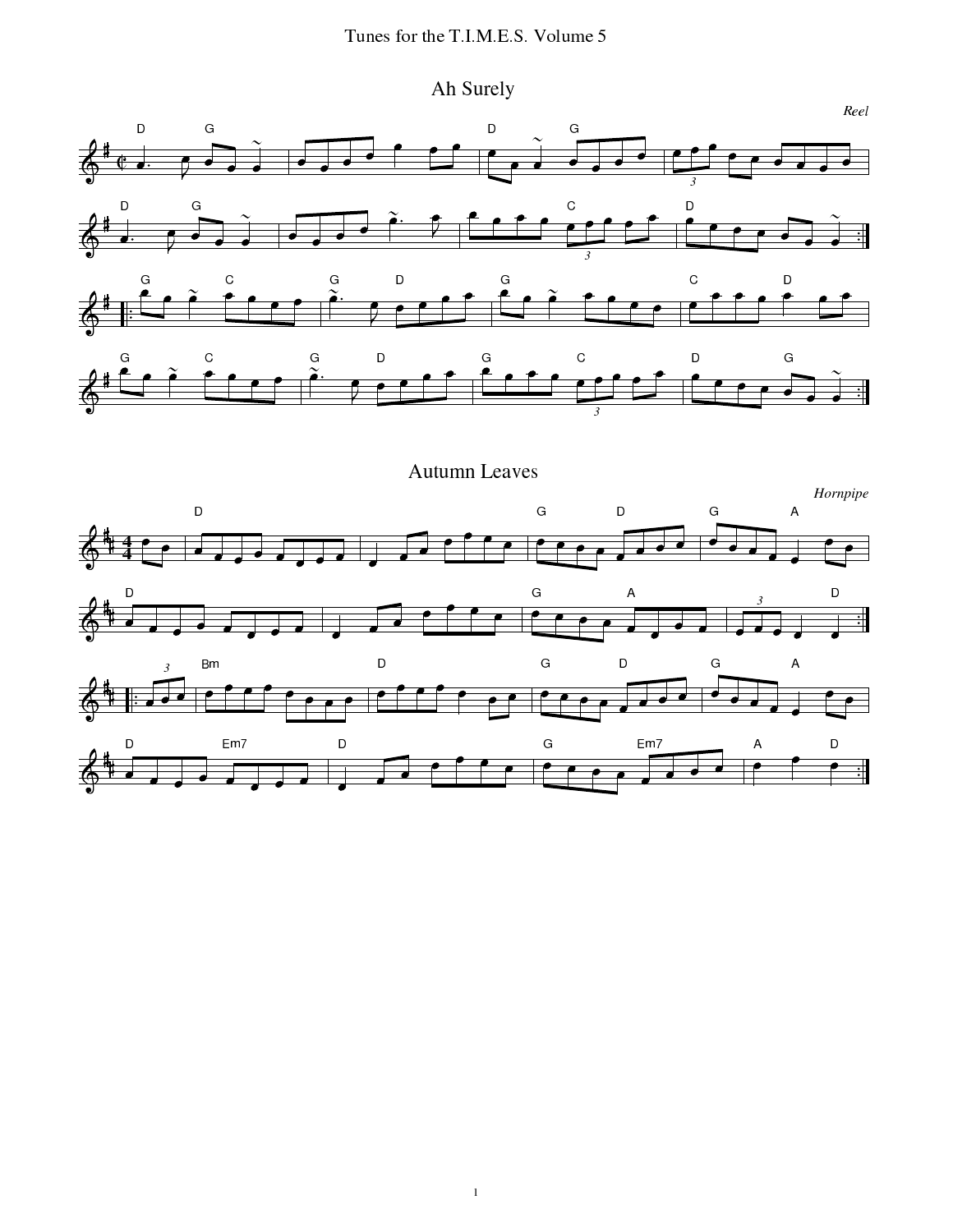Ah Surely



**Autumn Leaves** 

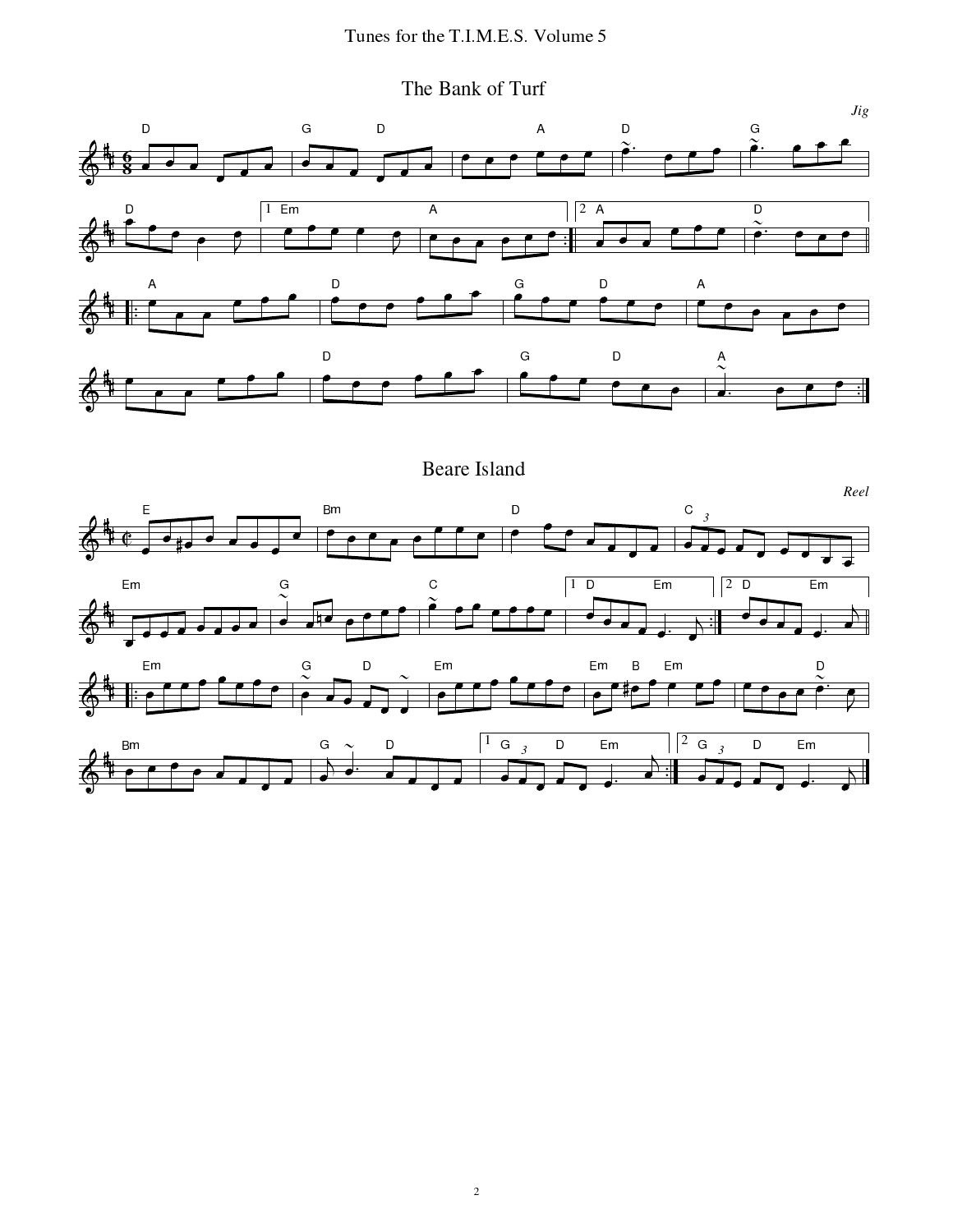The Bank of Turf



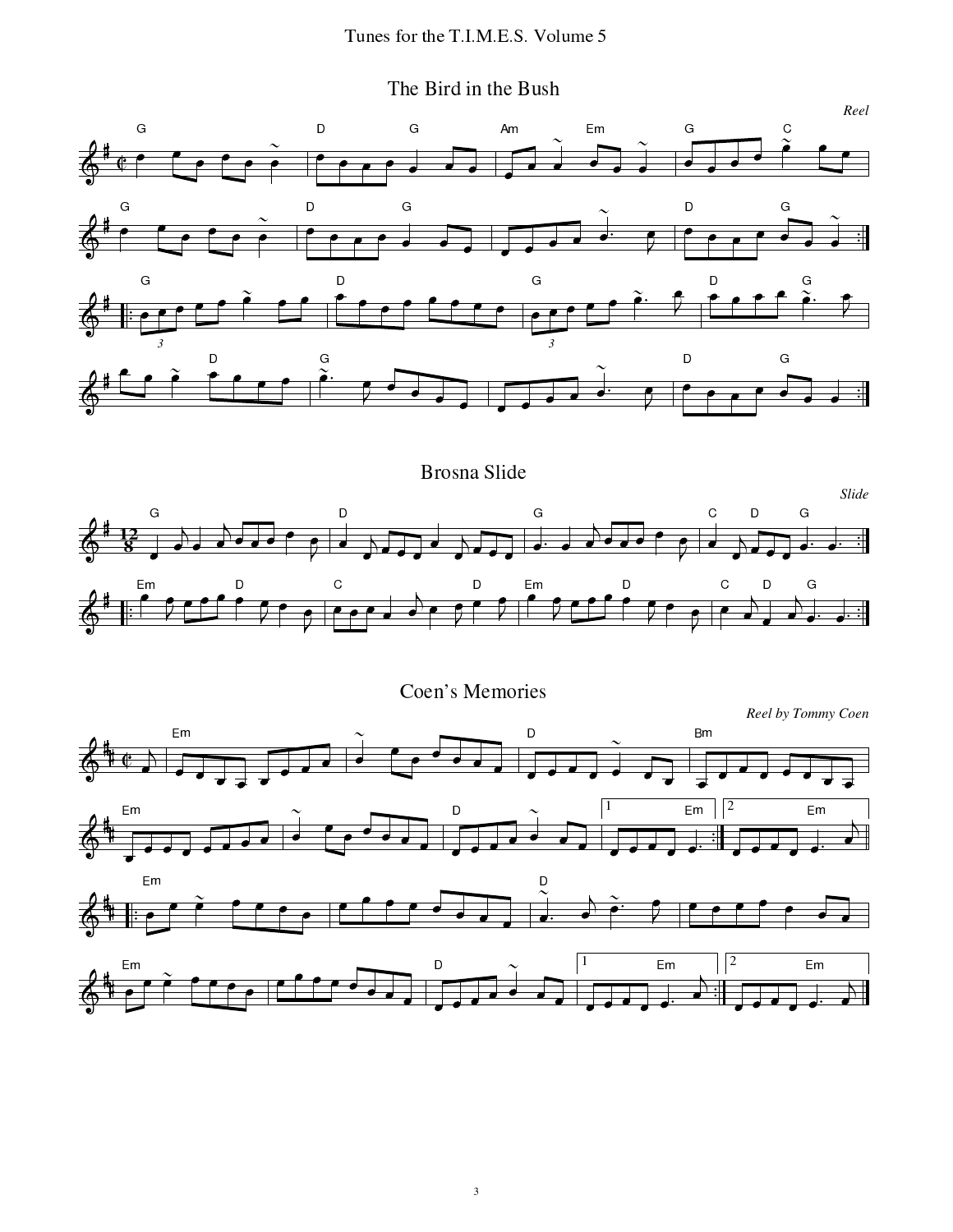The Bird in the Bush



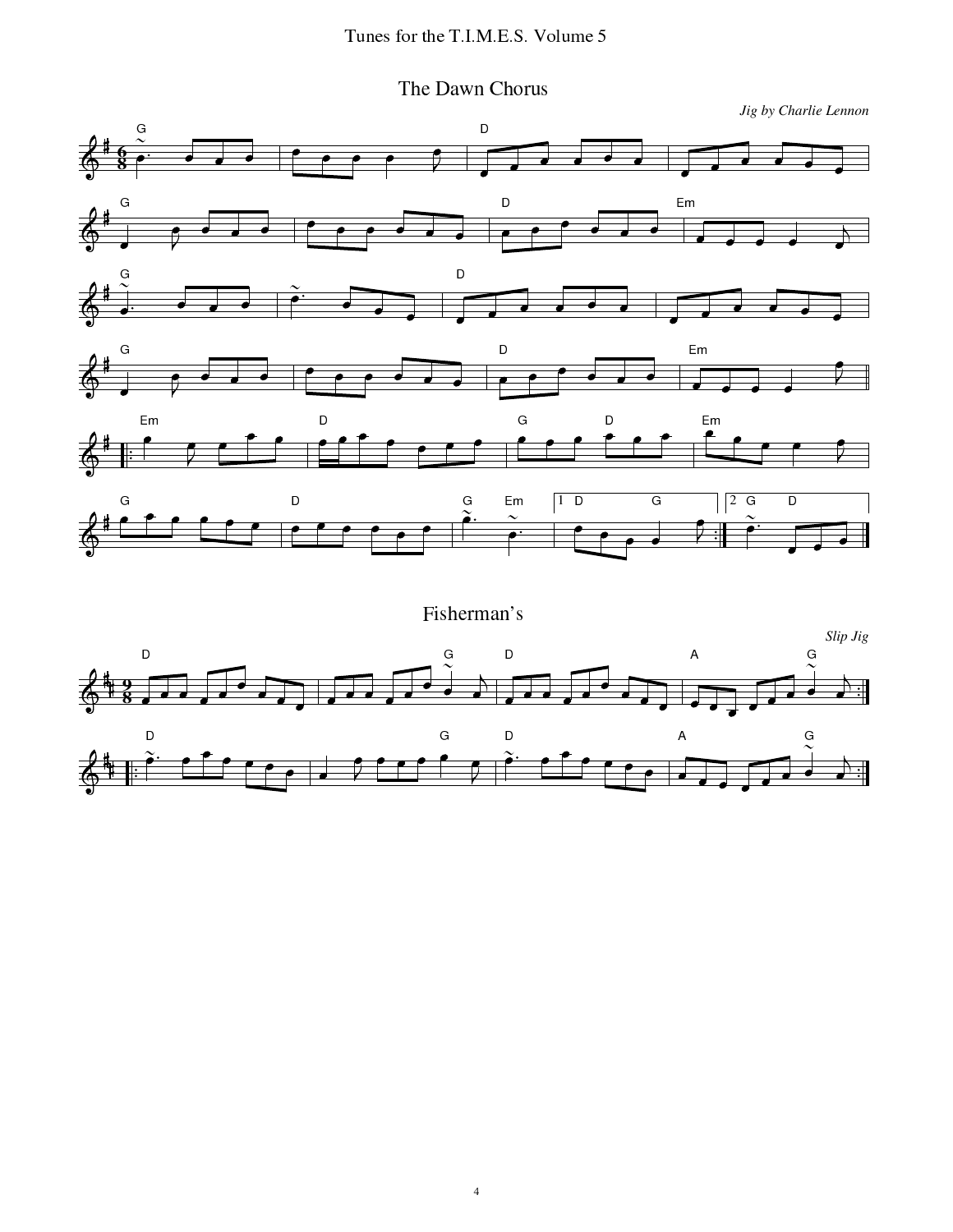The Dawn Chorus

Jig by Charlie Lennon



Fisherman's

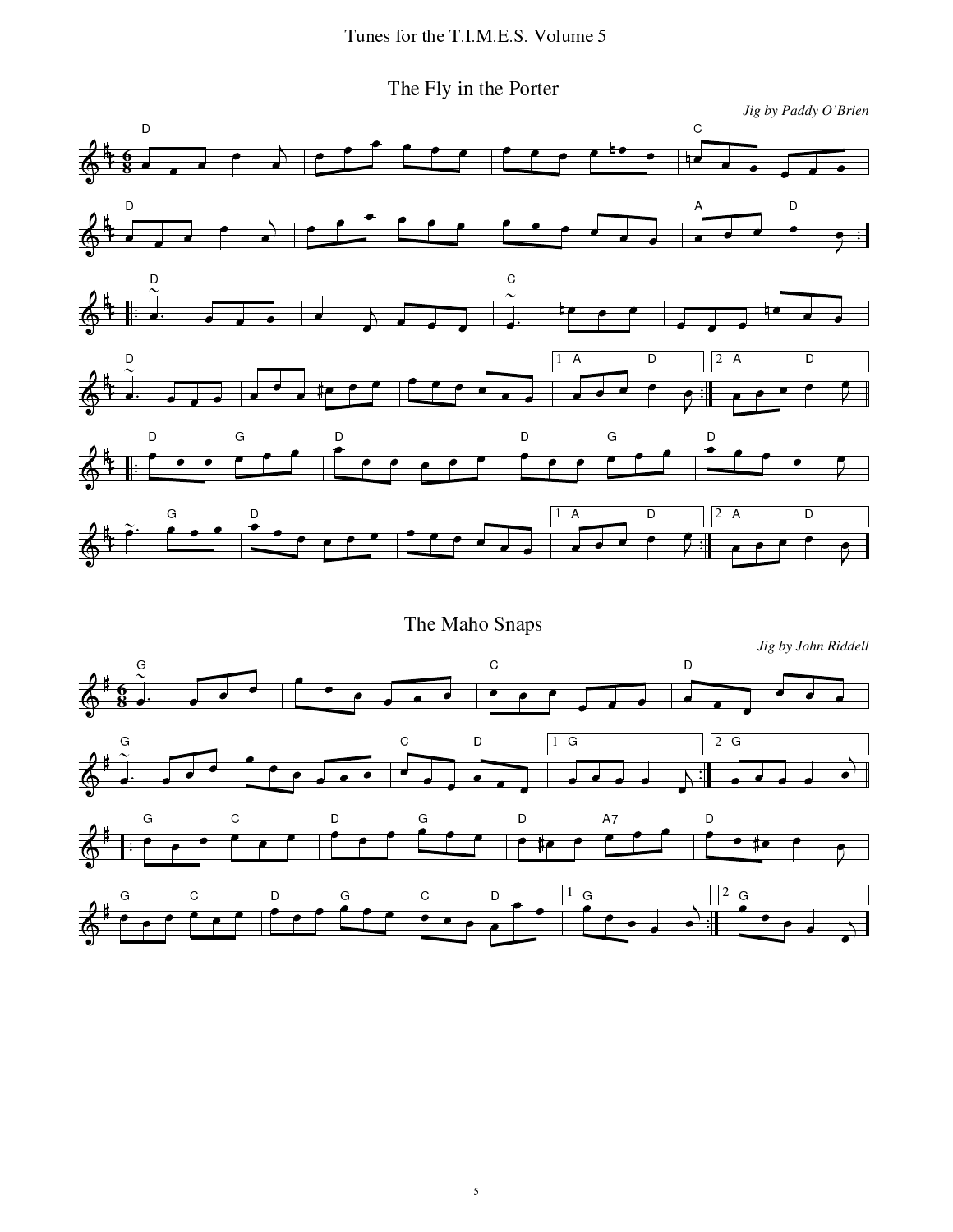M#\*+ f-:/S]:<S9:#\*+Zi-R\*),90+.)



 $\frac{1}{1}$   $\frac{1}{1}$   $\frac{1}{1}$ 春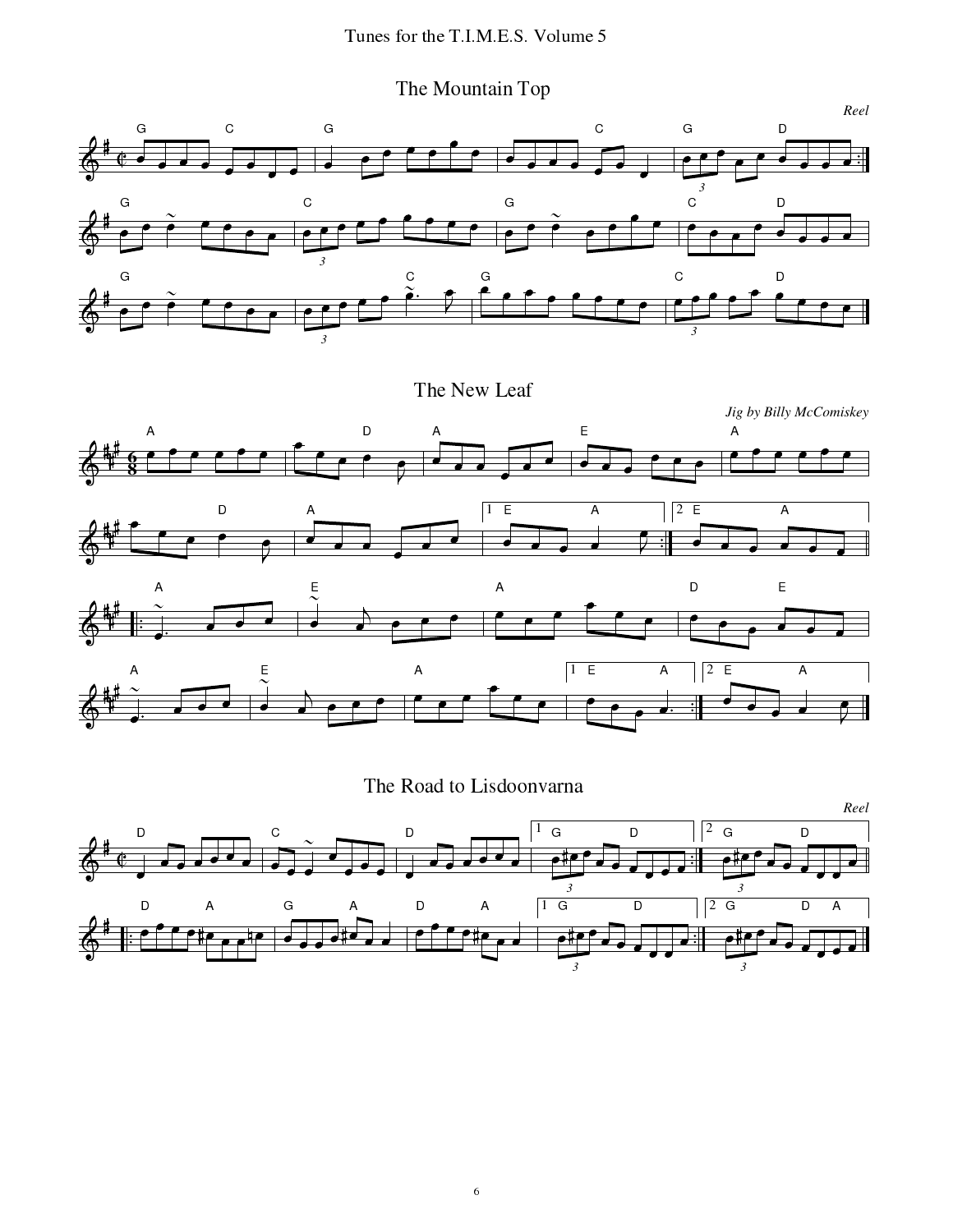The Mountain Top





## The Road to Lisdoonvarna

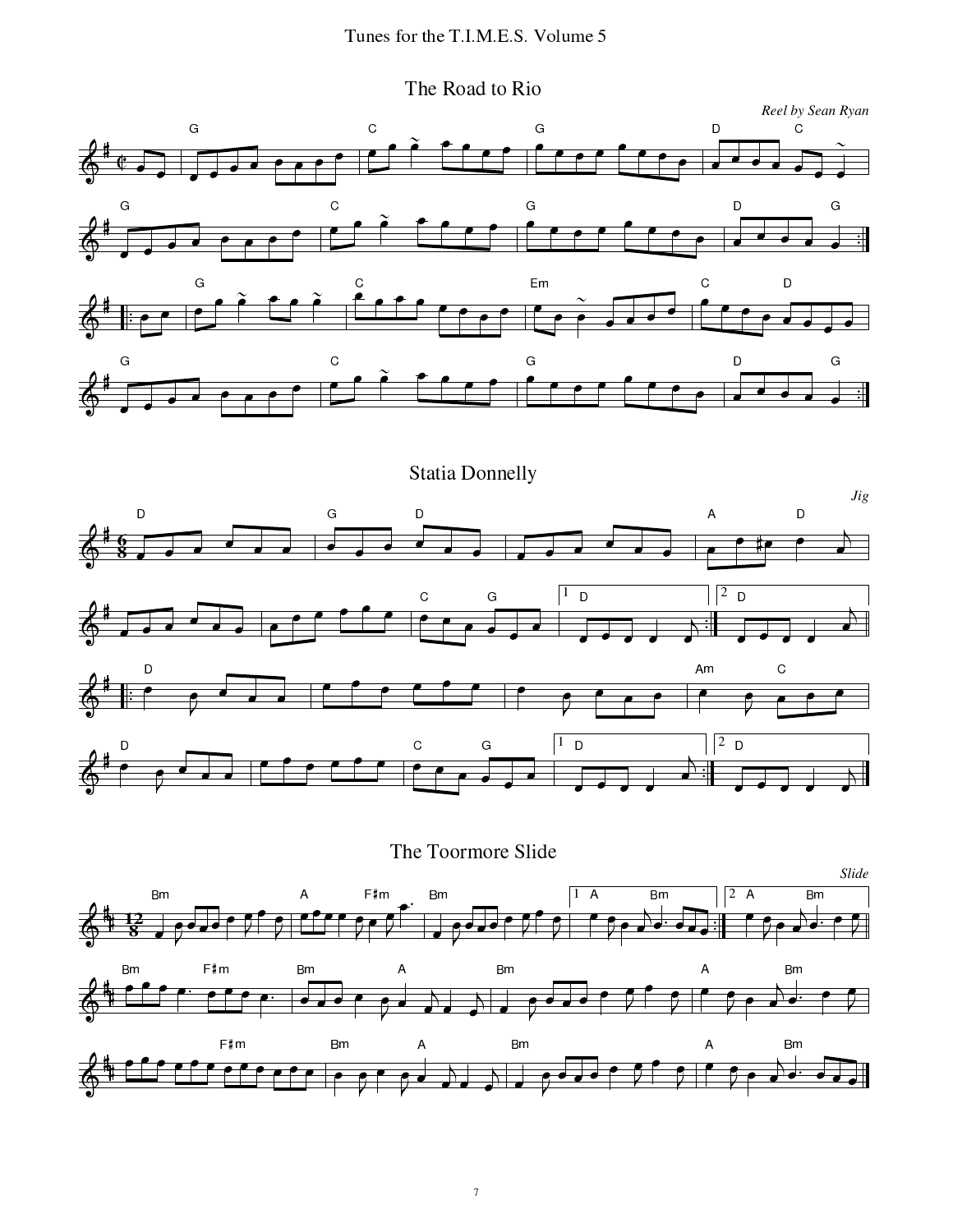The Road to Rio